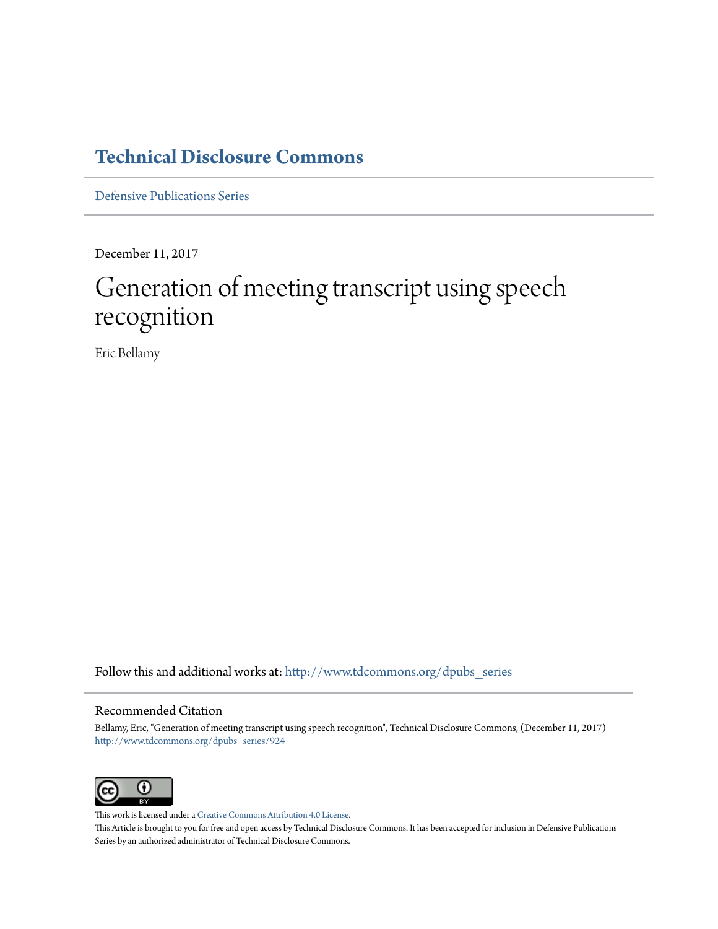## **[Technical Disclosure Commons](http://www.tdcommons.org?utm_source=www.tdcommons.org%2Fdpubs_series%2F924&utm_medium=PDF&utm_campaign=PDFCoverPages)**

[Defensive Publications Series](http://www.tdcommons.org/dpubs_series?utm_source=www.tdcommons.org%2Fdpubs_series%2F924&utm_medium=PDF&utm_campaign=PDFCoverPages)

December 11, 2017

# Generation of meeting transcript using speech recognition

Eric Bellamy

Follow this and additional works at: [http://www.tdcommons.org/dpubs\\_series](http://www.tdcommons.org/dpubs_series?utm_source=www.tdcommons.org%2Fdpubs_series%2F924&utm_medium=PDF&utm_campaign=PDFCoverPages)

#### Recommended Citation

Bellamy, Eric, "Generation of meeting transcript using speech recognition", Technical Disclosure Commons, (December 11, 2017) [http://www.tdcommons.org/dpubs\\_series/924](http://www.tdcommons.org/dpubs_series/924?utm_source=www.tdcommons.org%2Fdpubs_series%2F924&utm_medium=PDF&utm_campaign=PDFCoverPages)



This work is licensed under a [Creative Commons Attribution 4.0 License.](http://creativecommons.org/licenses/by/4.0/deed.en_US) This Article is brought to you for free and open access by Technical Disclosure Commons. It has been accepted for inclusion in Defensive Publications Series by an authorized administrator of Technical Disclosure Commons.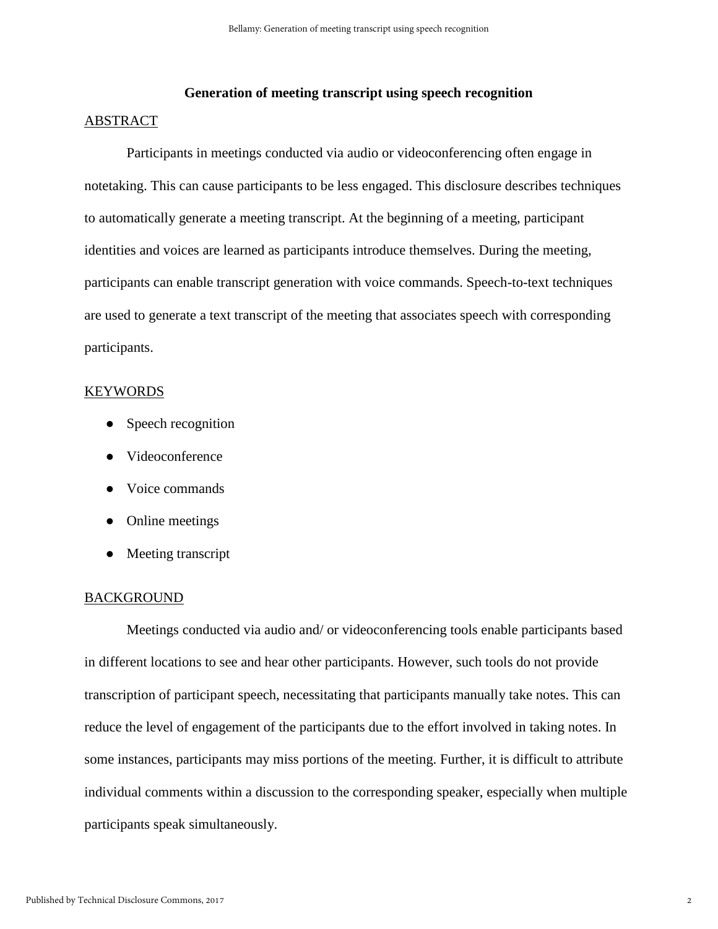### **Generation of meeting transcript using speech recognition**

#### ABSTRACT

Participants in meetings conducted via audio or videoconferencing often engage in notetaking. This can cause participants to be less engaged. This disclosure describes techniques to automatically generate a meeting transcript. At the beginning of a meeting, participant identities and voices are learned as participants introduce themselves. During the meeting, participants can enable transcript generation with voice commands. Speech-to-text techniques are used to generate a text transcript of the meeting that associates speech with corresponding participants.

#### KEYWORDS

- Speech recognition
- Videoconference
- Voice commands
- Online meetings
- Meeting transcript

#### BACKGROUND

Meetings conducted via audio and/ or videoconferencing tools enable participants based in different locations to see and hear other participants. However, such tools do not provide transcription of participant speech, necessitating that participants manually take notes. This can reduce the level of engagement of the participants due to the effort involved in taking notes. In some instances, participants may miss portions of the meeting. Further, it is difficult to attribute individual comments within a discussion to the corresponding speaker, especially when multiple participants speak simultaneously.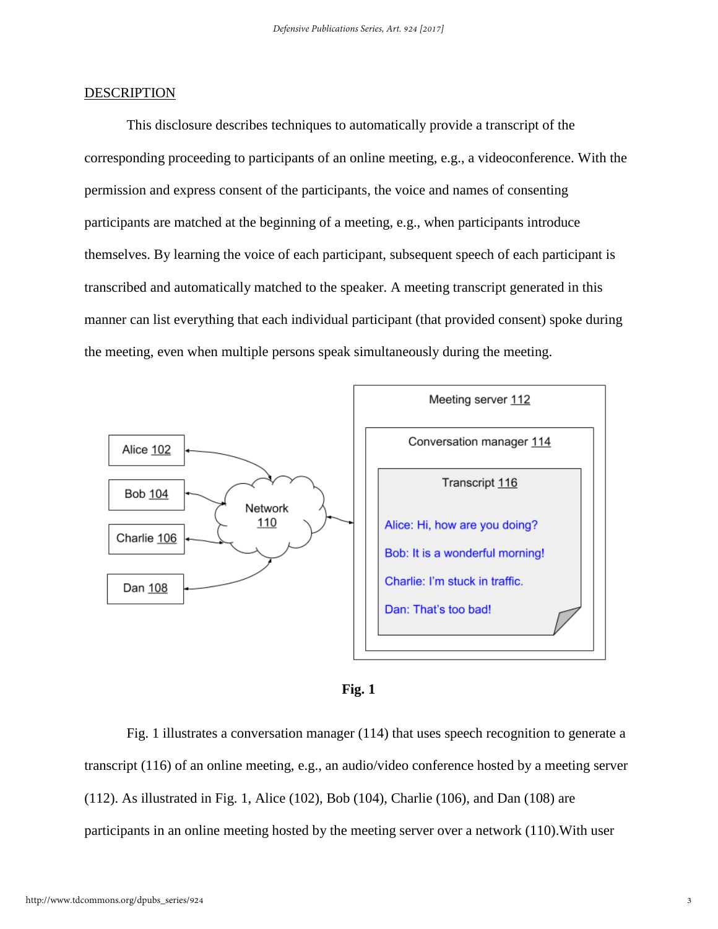#### **DESCRIPTION**

This disclosure describes techniques to automatically provide a transcript of the corresponding proceeding to participants of an online meeting, e.g., a videoconference. With the permission and express consent of the participants, the voice and names of consenting participants are matched at the beginning of a meeting, e.g., when participants introduce themselves. By learning the voice of each participant, subsequent speech of each participant is transcribed and automatically matched to the speaker. A meeting transcript generated in this manner can list everything that each individual participant (that provided consent) spoke during the meeting, even when multiple persons speak simultaneously during the meeting.





Fig. 1 illustrates a conversation manager (114) that uses speech recognition to generate a transcript (116) of an online meeting, e.g., an audio/video conference hosted by a meeting server (112). As illustrated in Fig. 1, Alice (102), Bob (104), Charlie (106), and Dan (108) are participants in an online meeting hosted by the meeting server over a network (110).With user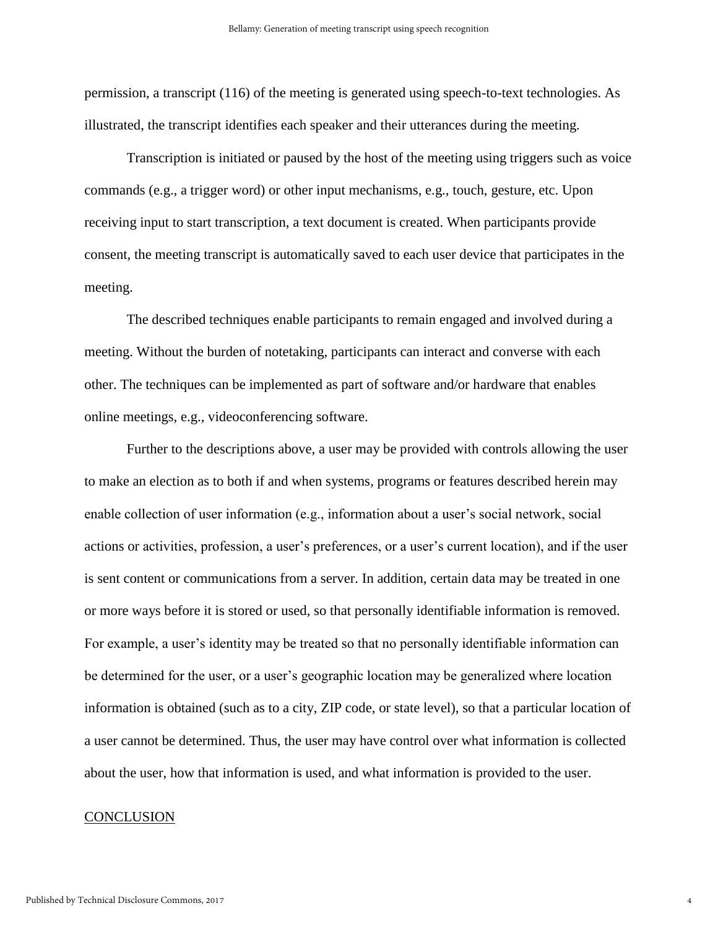permission, a transcript (116) of the meeting is generated using speech-to-text technologies. As illustrated, the transcript identifies each speaker and their utterances during the meeting.

Transcription is initiated or paused by the host of the meeting using triggers such as voice commands (e.g., a trigger word) or other input mechanisms, e.g., touch, gesture, etc. Upon receiving input to start transcription, a text document is created. When participants provide consent, the meeting transcript is automatically saved to each user device that participates in the meeting.

The described techniques enable participants to remain engaged and involved during a meeting. Without the burden of notetaking, participants can interact and converse with each other. The techniques can be implemented as part of software and/or hardware that enables online meetings, e.g., videoconferencing software.

Further to the descriptions above, a user may be provided with controls allowing the user to make an election as to both if and when systems, programs or features described herein may enable collection of user information (e.g., information about a user's social network, social actions or activities, profession, a user's preferences, or a user's current location), and if the user is sent content or communications from a server. In addition, certain data may be treated in one or more ways before it is stored or used, so that personally identifiable information is removed. For example, a user's identity may be treated so that no personally identifiable information can be determined for the user, or a user's geographic location may be generalized where location information is obtained (such as to a city, ZIP code, or state level), so that a particular location of a user cannot be determined. Thus, the user may have control over what information is collected about the user, how that information is used, and what information is provided to the user.

#### **CONCLUSION**

4